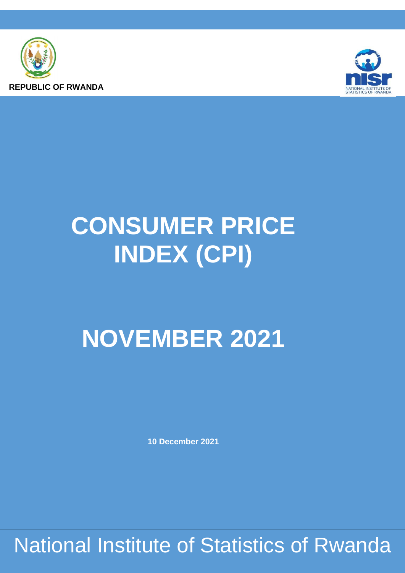



# **CONSUMER PRICE INDEX (CPI)**

## **NOVEMBER 2021**

**10 December 2021**

National Institute of Statistics of Rwanda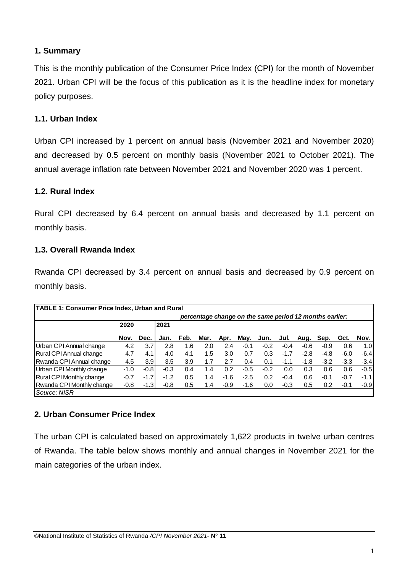#### **1. Summary**

This is the monthly publication of the Consumer Price Index (CPI) for the month of November 2021. Urban CPI will be the focus of this publication as it is the headline index for monetary policy purposes.

#### **1.1. Urban Index**

Urban CPI increased by 1 percent on annual basis (November 2021 and November 2020) and decreased by 0.5 percent on monthly basis (November 2021 to October 2021). The annual average inflation rate between November 2021 and November 2020 was 1 percent.

#### **1.2. Rural Index**

Rural CPI decreased by 6.4 percent on annual basis and decreased by 1.1 percent on monthly basis.

#### **1.3. Overall Rwanda Index**

Rwanda CPI decreased by 3.4 percent on annual basis and decreased by 0.9 percent on monthly basis.

| <b>TABLE 1: Consumer Price Index, Urban and Rural</b> |        |                                                         |        |      |      |        |        |        |        |        |        |        |                  |
|-------------------------------------------------------|--------|---------------------------------------------------------|--------|------|------|--------|--------|--------|--------|--------|--------|--------|------------------|
|                                                       |        | percentage change on the same period 12 months earlier: |        |      |      |        |        |        |        |        |        |        |                  |
|                                                       | 2020   |                                                         | 2021   |      |      |        |        |        |        |        |        |        |                  |
|                                                       | Nov.   | Dec.                                                    | Jan.   | Feb. | Mar. | Apr.   | May.   | Jun.   | Jul.   | Aug.   | Sep.   | Oct.   | Nov.             |
| Urban CPI Annual change                               | 4.2    | 3.7                                                     | 2.8    | 1.6  | 2.0  | 2.4    | $-0.1$ | $-0.2$ | $-0.4$ | $-0.6$ | $-0.9$ | 0.6    | 1.0 <sub>l</sub> |
| Rural CPI Annual change                               | 4.7    | 4.1                                                     | 4.0    | 4.1  | 1.5  | 3.0    | 0.7    | 0.3    | $-1.7$ | $-2.8$ | $-4.8$ | $-6.0$ | $-6.4$           |
| Rwanda CPI Annual change                              | 4.5    | 3.9 <sub>l</sub>                                        | 3.5    | 3.9  | 1.7  | 2.7    | 0.4    | 0.1    | -1.1   | $-1.8$ | $-3.2$ | $-3.3$ | $-3.4$           |
| Urban CPI Monthly change                              | $-1.0$ | $-0.8$                                                  | $-0.3$ | 0.4  | 1.4  | 0.2    | $-0.5$ | $-0.2$ | 0.0    | 0.3    | 0.6    | 0.6    | $-0.5$           |
| Rural CPI Monthly change                              | $-0.7$ | $-1.7$                                                  | $-1.2$ | 0.5  | 1.4  | $-1.6$ | $-2.5$ | 0.2    | $-0.4$ | 0.6    | $-0.1$ | $-0.7$ | $-1.1$           |
| Rwanda CPI Monthly change                             | $-0.8$ | -1.31                                                   | $-0.8$ | 0.5  | 1.4  | $-0.9$ | $-1.6$ | 0.0    | $-0.3$ | 0.5    | 0.2    | $-0.1$ | $-0.9$           |
| Source: NISR                                          |        |                                                         |        |      |      |        |        |        |        |        |        |        |                  |

#### **2. Urban Consumer Price Index**

The urban CPI is calculated based on approximately 1,622 products in twelve urban centres of Rwanda. The table below shows monthly and annual changes in November 2021 for the main categories of the urban index.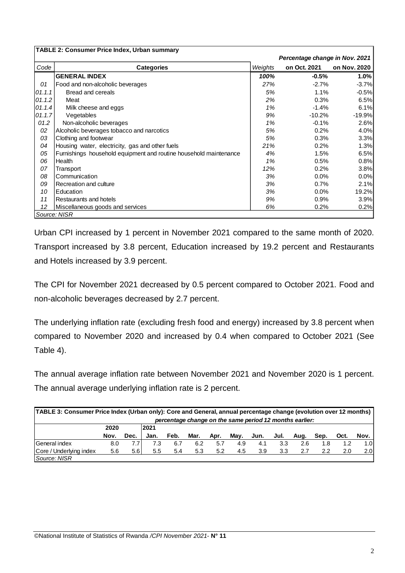|        | <b>TABLE 2: Consumer Price Index, Urban summary</b>               |         |                                |              |
|--------|-------------------------------------------------------------------|---------|--------------------------------|--------------|
|        |                                                                   |         | Percentage change in Nov. 2021 |              |
| Code   | <b>Categories</b>                                                 | Weights | on Oct. 2021                   | on Nov. 2020 |
|        | <b>GENERAL INDEX</b>                                              | 100%    | $-0.5%$                        | 1.0%         |
| 01     | Food and non-alcoholic beverages                                  | 27%     | $-2.7%$                        | $-3.7%$      |
| 01.1.1 | Bread and cereals                                                 | 5%      | 1.1%                           | $-0.5%$      |
| 01.1.2 | Meat                                                              | 2%      | 0.3%                           | 6.5%         |
| 01.14  | Milk cheese and eggs                                              | 1%      | $-1.4%$                        | 6.1%         |
| 01.1.7 | Vegetables                                                        | 9%      | $-10.2%$                       | $-19.9%$     |
| 01.2   | Non-alcoholic beverages                                           | 1%      | $-0.1%$                        | 2.6%         |
| 02     | Alcoholic beverages tobacco and narcotics                         | 5%      | 0.2%                           | 4.0%         |
| 03     | Clothing and footwear                                             | 5%      | 0.3%                           | 3.3%         |
| 04     | Housing water, electricity, gas and other fuels                   | 21%     | 0.2%                           | 1.3%         |
| 05     | Furnishings household equipment and routine household maintenance | 4%      | 1.5%                           | 6.5%         |
| 06     | Health                                                            | 1%      | 0.5%                           | 0.8%         |
| 07     | Transport                                                         | 12%     | 0.2%                           | 3.8%         |
| 08     | Communication                                                     | 3%      | $0.0\%$                        | 0.0%         |
| 09     | Recreation and culture                                            | 3%      | 0.7%                           | 2.1%         |
| 10     | Education                                                         | 3%      | 0.0%                           | 19.2%        |
| 11     | Restaurants and hotels                                            | 9%      | 0.9%                           | 3.9%         |
| 12     | Miscellaneous goods and services                                  | 6%      | 0.2%                           | 0.2%         |
|        | Source: NISR                                                      |         |                                |              |

Urban CPI increased by 1 percent in November 2021 compared to the same month of 2020. Transport increased by 3.8 percent, Education increased by 19.2 percent and Restaurants and Hotels increased by 3.9 percent.

The CPI for November 2021 decreased by 0.5 percent compared to October 2021. Food and non-alcoholic beverages decreased by 2.7 percent.

The underlying inflation rate (excluding fresh food and energy) increased by 3.8 percent when compared to November 2020 and increased by 0.4 when compared to October 2021 (See Table 4).

The annual average inflation rate between November 2021 and November 2020 is 1 percent. The annual average underlying inflation rate is 2 percent.

| TABLE 3: Consumer Price Index (Urban only): Core and General, annual percentage change (evolution over 12 months)<br>percentage change on the same period 12 months earlier: |      |      |      |      |      |      |      |      |      |      |      |      |      |
|------------------------------------------------------------------------------------------------------------------------------------------------------------------------------|------|------|------|------|------|------|------|------|------|------|------|------|------|
|                                                                                                                                                                              | 2020 |      | 2021 |      |      |      |      |      |      |      |      |      |      |
|                                                                                                                                                                              | Nov. | Dec. | Jan. | Feb. | Mar. | Apr. | May. | Jun. | Jul. | Aug. | Sep. | Oct. | Nov. |
| General index                                                                                                                                                                | 8.0  | 7.7  | 7.3  | 6.7  | 6.2  | 5.7  | 4.9  | 4.1  | 3.3  | 2.6  | 1.8  | 1.2  | 1.01 |
| Core / Underlying index                                                                                                                                                      | 5.6  | 5.61 | 5.5  | 5.4  | 5.3  | 5.2  | 4.5  | 3.9  | 3.3  | 2.7  | 2.2  | 2.0  | 2.0I |
| Source: NISR                                                                                                                                                                 |      |      |      |      |      |      |      |      |      |      |      |      |      |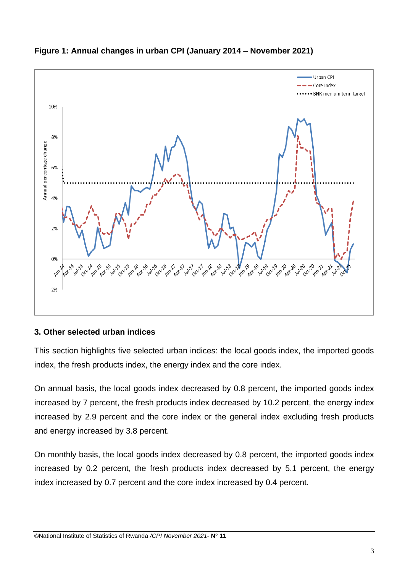

### **Figure 1: Annual changes in urban CPI (January 2014 – November 2021)**

#### **3. Other selected urban indices**

This section highlights five selected urban indices: the local goods index, the imported goods index, the fresh products index, the energy index and the core index.

On annual basis, the local goods index decreased by 0.8 percent, the imported goods index increased by 7 percent, the fresh products index decreased by 10.2 percent, the energy index increased by 2.9 percent and the core index or the general index excluding fresh products and energy increased by 3.8 percent.

On monthly basis, the local goods index decreased by 0.8 percent, the imported goods index increased by 0.2 percent, the fresh products index decreased by 5.1 percent, the energy index increased by 0.7 percent and the core index increased by 0.4 percent.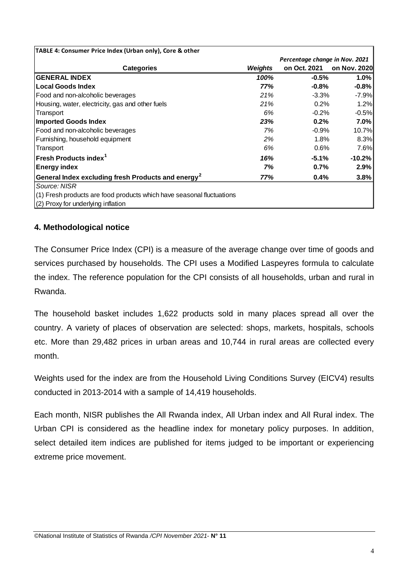| TABLE 4: Consumer Price Index (Urban only), Core & other              |                |                                |              |
|-----------------------------------------------------------------------|----------------|--------------------------------|--------------|
|                                                                       |                | Percentage change in Nov. 2021 |              |
| <b>Categories</b>                                                     | <b>Weights</b> | on Oct. 2021                   | on Nov. 2020 |
| <b>GENERAL INDEX</b>                                                  | 100%           | $-0.5%$                        | 1.0%         |
| <b>Local Goods Index</b>                                              | 77%            | $-0.8%$                        | $-0.8%$      |
| Food and non-alcoholic beverages                                      | 21%            | $-3.3%$                        | $-7.9%$      |
| Housing, water, electricity, gas and other fuels                      | 21%            | 0.2%                           | 1.2%         |
| Transport                                                             | 6%             | $-0.2%$                        | $-0.5%$      |
| <b>Imported Goods Index</b>                                           | 23%            | 0.2%                           | 7.0%         |
| Food and non-alcoholic beverages                                      | 7%             | $-0.9%$                        | 10.7%        |
| Furnishing, household equipment                                       | 2%             | 1.8%                           | 8.3%         |
| Transport                                                             | 6%             | 0.6%                           | 7.6%         |
| Fresh Products index <sup>1</sup>                                     | 16%            | $-5.1%$                        | $-10.2\%$    |
| <b>Energy index</b>                                                   | 7%             | 0.7%                           | 2.9%         |
| General Index excluding fresh Products and energy <sup>2</sup>        | 77%            | 0.4%                           | 3.8%         |
| Source: NISR                                                          |                |                                |              |
| (1) Fresh products are food products which have seasonal fluctuations |                |                                |              |
| (2) Proxy for underlying inflation                                    |                |                                |              |

#### **4. Methodological notice**

The Consumer Price Index (CPI) is a measure of the average change over time of goods and services purchased by households. The CPI uses a Modified Laspeyres formula to calculate the index. The reference population for the CPI consists of all households, urban and rural in Rwanda.

The household basket includes 1,622 products sold in many places spread all over the country. A variety of places of observation are selected: shops, markets, hospitals, schools etc. More than 29,482 prices in urban areas and 10,744 in rural areas are collected every month.

Weights used for the index are from the Household Living Conditions Survey (EICV4) results conducted in 2013-2014 with a sample of 14,419 households.

Each month, NISR publishes the All Rwanda index, All Urban index and All Rural index. The Urban CPI is considered as the headline index for monetary policy purposes. In addition, select detailed item indices are published for items judged to be important or experiencing extreme price movement.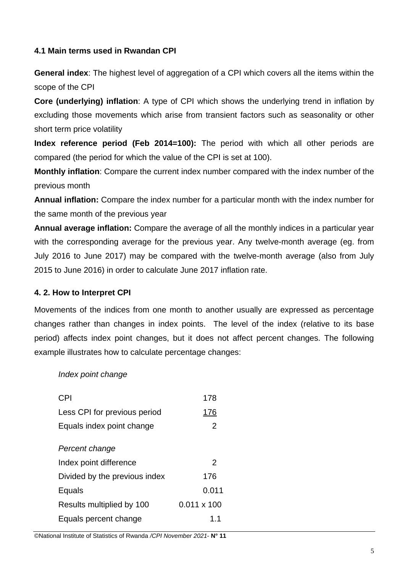#### **4.1 Main terms used in Rwandan CPI**

**General index:** The highest level of aggregation of a CPI which covers all the items within the scope of the CPI

**Core (underlying) inflation**: A type of CPI which shows the underlying trend in inflation by excluding those movements which arise from transient factors such as seasonality or other short term price volatility

**Index reference period (Feb 2014=100):** The period with which all other periods are compared (the period for which the value of the CPI is set at 100).

**Monthly inflation**: Compare the current index number compared with the index number of the previous month

**Annual inflation:** Compare the index number for a particular month with the index number for the same month of the previous year

**Annual average inflation:** Compare the average of all the monthly indices in a particular year with the corresponding average for the previous year. Any twelve-month average (eg. from July 2016 to June 2017) may be compared with the twelve-month average (also from July 2015 to June 2016) in order to calculate June 2017 inflation rate.

#### **4. 2. How to Interpret CPI**

Movements of the indices from one month to another usually are expressed as percentage changes rather than changes in index points. The level of the index (relative to its base period) affects index point changes, but it does not affect percent changes. The following example illustrates how to calculate percentage changes:

#### *Index point change*

| <b>CPI</b>                    | 178                |
|-------------------------------|--------------------|
| Less CPI for previous period  | 176                |
| Equals index point change     | 2                  |
| Percent change                |                    |
| Index point difference        | 2                  |
| Divided by the previous index | 176                |
| Equals                        | 0.011              |
| Results multiplied by 100     | $0.011 \times 100$ |
| Equals percent change         | 1.1                |

©National Institute of Statistics of Rwanda */CPI November 2021*- **N° 11**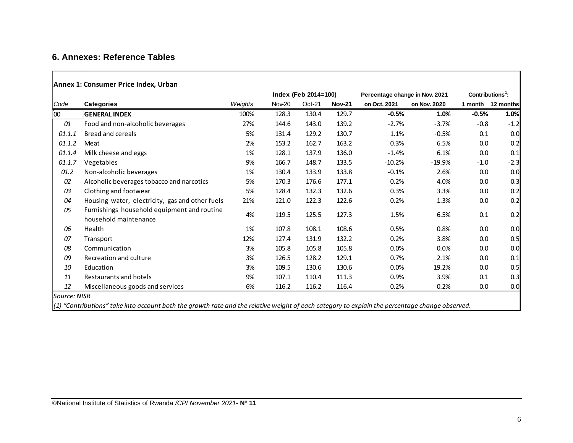#### **6. Annexes: Reference Tables**

#### **Annex 1: Consumer Price Index, Urban**

|              |                                                                                                                                                  |         |        | Index (Feb 2014=100) |               | Percentage change in Nov. 2021 | Contributions <sup>1</sup> : |         |                   |
|--------------|--------------------------------------------------------------------------------------------------------------------------------------------------|---------|--------|----------------------|---------------|--------------------------------|------------------------------|---------|-------------------|
| Code         | <b>Categories</b>                                                                                                                                | Weights | Nov-20 | Oct-21               | <b>Nov-21</b> | on Oct. 2021                   | on Nov. 2020                 |         | 1 month 12 months |
| 00           | <b>GENERAL INDEX</b>                                                                                                                             | 100%    | 128.3  | 130.4                | 129.7         | $-0.5%$                        | 1.0%                         | $-0.5%$ | 1.0%              |
| 01           | Food and non-alcoholic beverages                                                                                                                 | 27%     | 144.6  | 143.0                | 139.2         | $-2.7%$                        | $-3.7%$                      | $-0.8$  | $-1.2$            |
| 01.1.1       | Bread and cereals                                                                                                                                | 5%      | 131.4  | 129.2                | 130.7         | 1.1%                           | $-0.5%$                      | 0.1     | 0.0               |
| 01.1.2       | Meat                                                                                                                                             | 2%      | 153.2  | 162.7                | 163.2         | 0.3%                           | 6.5%                         | 0.0     | 0.2               |
| 01.1.4       | Milk cheese and eggs                                                                                                                             | 1%      | 128.1  | 137.9                | 136.0         | $-1.4%$                        | 6.1%                         | 0.0     | 0.1               |
| 01.1.7       | Vegetables                                                                                                                                       | 9%      | 166.7  | 148.7                | 133.5         | $-10.2%$                       | $-19.9%$                     | $-1.0$  | $-2.3$            |
| 01.2         | Non-alcoholic beverages                                                                                                                          | 1%      | 130.4  | 133.9                | 133.8         | $-0.1%$                        | 2.6%                         | 0.0     | 0.0               |
| 02           | Alcoholic beverages tobacco and narcotics                                                                                                        | 5%      | 170.3  | 176.6                | 177.1         | 0.2%                           | 4.0%                         | $0.0\,$ | 0.3               |
| 03           | Clothing and footwear                                                                                                                            | 5%      | 128.4  | 132.3                | 132.6         | 0.3%                           | 3.3%                         | 0.0     | 0.2               |
| 04           | Housing water, electricity, gas and other fuels                                                                                                  | 21%     | 121.0  | 122.3                | 122.6         | 0.2%                           | 1.3%                         | 0.0     | 0.2               |
| 05           | Furnishings household equipment and routine                                                                                                      | 4%      | 119.5  | 125.5                | 127.3         | 1.5%                           | 6.5%                         | 0.1     | 0.2               |
|              | household maintenance                                                                                                                            |         |        |                      |               |                                |                              |         |                   |
| 06           | Health                                                                                                                                           | 1%      | 107.8  | 108.1                | 108.6         | 0.5%                           | 0.8%                         | 0.0     | 0.0               |
| 07           | Transport                                                                                                                                        | 12%     | 127.4  | 131.9                | 132.2         | 0.2%                           | 3.8%                         | 0.0     | 0.5               |
| 08           | Communication                                                                                                                                    | 3%      | 105.8  | 105.8                | 105.8         | $0.0\%$                        | 0.0%                         | 0.0     | 0.0               |
| 09           | Recreation and culture                                                                                                                           | 3%      | 126.5  | 128.2                | 129.1         | 0.7%                           | 2.1%                         | 0.0     | 0.1               |
| 10           | Education                                                                                                                                        | 3%      | 109.5  | 130.6                | 130.6         | $0.0\%$                        | 19.2%                        | 0.0     | 0.5               |
| 11           | Restaurants and hotels                                                                                                                           | 9%      | 107.1  | 110.4                | 111.3         | 0.9%                           | 3.9%                         | 0.1     | 0.3               |
| 12           | Miscellaneous goods and services                                                                                                                 | 6%      | 116.2  | 116.2                | 116.4         | 0.2%                           | 0.2%                         | 0.0     | 0.0               |
| Source: NISR |                                                                                                                                                  |         |        |                      |               |                                |                              |         |                   |
|              | $(1)$ "Contributions" take into account both the growth rate and the relative weight of each category to explain the percentage change observed. |         |        |                      |               |                                |                              |         |                   |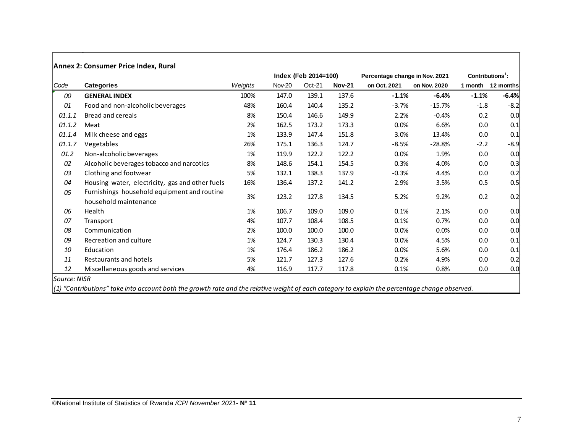|        | Annex 2: Consumer Price Index, Rural                                 |         |        |                      |               |                                |                    |         |           |
|--------|----------------------------------------------------------------------|---------|--------|----------------------|---------------|--------------------------------|--------------------|---------|-----------|
|        |                                                                      |         |        | Index (Feb 2014=100) |               | Percentage change in Nov. 2021 | $Contributions1$ : |         |           |
| Code   | Categories                                                           | Weights | Nov-20 | $Oct-21$             | <b>Nov-21</b> | on Oct. 2021                   | on Nov. 2020       | 1 month | 12 months |
| 00     | <b>GENERAL INDEX</b>                                                 | 100%    | 147.0  | 139.1                | 137.6         | $-1.1%$                        | $-6.4%$            | $-1.1%$ | $-6.4%$   |
| 01     | Food and non-alcoholic beverages                                     | 48%     | 160.4  | 140.4                | 135.2         | $-3.7%$                        | $-15.7%$           | $-1.8$  | $-8.2$    |
| 01.1.1 | Bread and cereals                                                    | 8%      | 150.4  | 146.6                | 149.9         | 2.2%                           | $-0.4%$            | 0.2     | 0.0       |
| 01.1.2 | Meat                                                                 | 2%      | 162.5  | 173.2                | 173.3         | 0.0%                           | 6.6%               | 0.0     | 0.1       |
| 01.1.4 | Milk cheese and eggs                                                 | 1%      | 133.9  | 147.4                | 151.8         | 3.0%                           | 13.4%              | 0.0     | 0.1       |
| 01.1.7 | Vegetables                                                           | 26%     | 175.1  | 136.3                | 124.7         | $-8.5%$                        | $-28.8%$           | $-2.2$  | $-8.9$    |
| 01.2   | Non-alcoholic beverages                                              | 1%      | 119.9  | 122.2                | 122.2         | 0.0%                           | 1.9%               | 0.0     | 0.0       |
| 02     | Alcoholic beverages tobacco and narcotics                            | 8%      | 148.6  | 154.1                | 154.5         | 0.3%                           | 4.0%               | 0.0     | 0.3       |
| 03     | Clothing and footwear                                                | 5%      | 132.1  | 138.3                | 137.9         | $-0.3%$                        | 4.4%               | 0.0     | 0.2       |
| 04     | Housing water, electricity, gas and other fuels                      | 16%     | 136.4  | 137.2                | 141.2         | 2.9%                           | 3.5%               | 0.5     | 0.5       |
| 05     | Furnishings household equipment and routine<br>household maintenance | 3%      | 123.2  | 127.8                | 134.5         | 5.2%                           | 9.2%               | 0.2     | 0.2       |
| 06     | Health                                                               | 1%      | 106.7  | 109.0                | 109.0         | 0.1%                           | 2.1%               | 0.0     | 0.0       |
| 07     | Transport                                                            | 4%      | 107.7  | 108.4                | 108.5         | 0.1%                           | 0.7%               | 0.0     | 0.0       |
| 08     | Communication                                                        | 2%      | 100.0  | 100.0                | 100.0         | 0.0%                           | 0.0%               | 0.0     | 0.0       |
| 09     | Recreation and culture                                               | 1%      | 124.7  | 130.3                | 130.4         | 0.0%                           | 4.5%               | 0.0     | 0.1       |
| 10     | Education                                                            | 1%      | 176.4  | 186.2                | 186.2         | 0.0%                           | 5.6%               | 0.0     | 0.1       |
| 11     | Restaurants and hotels                                               | 5%      | 121.7  | 127.3                | 127.6         | 0.2%                           | 4.9%               | 0.0     | 0.2       |
| 12     | Miscellaneous goods and services                                     | 4%      | 116.9  | 117.7                | 117.8         | 0.1%                           | 0.8%               | 0.0     | 0.0       |

*Source: NISR*

*(1) "Contributions" take into account both the growth rate and the relative weight of each category to explain the percentage change observed.*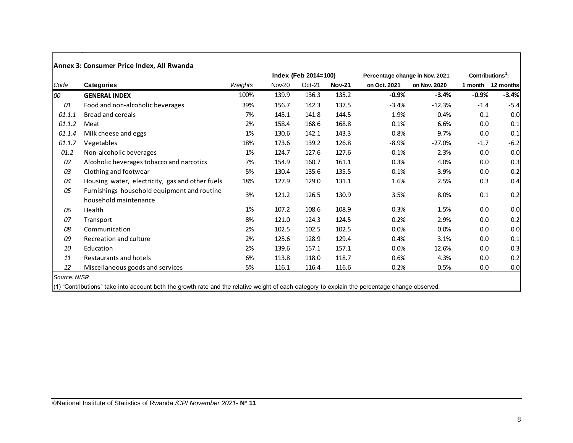|        |                                                                      |         |               | Index (Feb 2014=100) |               | Percentage change in Nov. 2021 | $Contributions1$ : |         |                   |
|--------|----------------------------------------------------------------------|---------|---------------|----------------------|---------------|--------------------------------|--------------------|---------|-------------------|
| Code   | Categories                                                           | Weights | <b>Nov-20</b> | $Oct-21$             | <b>Nov-21</b> | on Oct. 2021                   | on Nov. 2020       |         | 1 month 12 months |
| 100    | <b>GENERAL INDEX</b>                                                 | 100%    | 139.9         | 136.3                | 135.2         | $-0.9%$                        | $-3.4%$            | $-0.9%$ | $-3.4%$           |
| 01     | Food and non-alcoholic beverages                                     | 39%     | 156.7         | 142.3                | 137.5         | $-3.4%$                        | $-12.3%$           | $-1.4$  | $-5.4$            |
| 01.1.1 | Bread and cereals                                                    | 7%      | 145.1         | 141.8                | 144.5         | 1.9%                           | $-0.4%$            | 0.1     | 0.0               |
| 01.1.2 | Meat                                                                 | 2%      | 158.4         | 168.6                | 168.8         | 0.1%                           | 6.6%               | 0.0     | 0.1               |
| 01.1.4 | Milk cheese and eggs                                                 | 1%      | 130.6         | 142.1                | 143.3         | 0.8%                           | 9.7%               | 0.0     | 0.1               |
| 01.1.7 | Vegetables                                                           | 18%     | 173.6         | 139.2                | 126.8         | $-8.9%$                        | $-27.0%$           | $-1.7$  | $-6.2$            |
| 01.2   | Non-alcoholic beverages                                              | 1%      | 124.7         | 127.6                | 127.6         | $-0.1%$                        | 2.3%               | 0.0     | 0.0               |
| 02     | Alcoholic beverages tobacco and narcotics                            | 7%      | 154.9         | 160.7                | 161.1         | 0.3%                           | 4.0%               | 0.0     | 0.3               |
| 03     | Clothing and footwear                                                | 5%      | 130.4         | 135.6                | 135.5         | $-0.1%$                        | 3.9%               | 0.0     | 0.2               |
| 04     | Housing water, electricity, gas and other fuels                      | 18%     | 127.9         | 129.0                | 131.1         | 1.6%                           | 2.5%               | 0.3     | 0.4               |
| 05     | Furnishings household equipment and routine<br>household maintenance | 3%      | 121.2         | 126.5                | 130.9         | 3.5%                           | 8.0%               | 0.1     | 0.2               |
| 06     | Health                                                               | 1%      | 107.2         | 108.6                | 108.9         | 0.3%                           | 1.5%               | 0.0     | 0.0               |
| 07     | Transport                                                            | 8%      | 121.0         | 124.3                | 124.5         | 0.2%                           | 2.9%               | 0.0     | 0.2               |
| 08     | Communication                                                        | 2%      | 102.5         | 102.5                | 102.5         | 0.0%                           | 0.0%               | 0.0     | 0.0               |
| 09     | Recreation and culture                                               | 2%      | 125.6         | 128.9                | 129.4         | 0.4%                           | 3.1%               | 0.0     | 0.1               |
| 10     | Education                                                            | 2%      | 139.6         | 157.1                | 157.1         | 0.0%                           | 12.6%              | 0.0     | 0.3               |
| 11     | Restaurants and hotels                                               | 6%      | 113.8         | 118.0                | 118.7         | 0.6%                           | 4.3%               | 0.0     | 0.2               |
| 12     | Miscellaneous goods and services                                     | 5%      | 116.1         | 116.4                | 116.6         | 0.2%                           | 0.5%               | $0.0\,$ | 0.0               |

(1) "Contributions" take into account both the growth rate and the relative weight of each category to explain the percentage change observed.